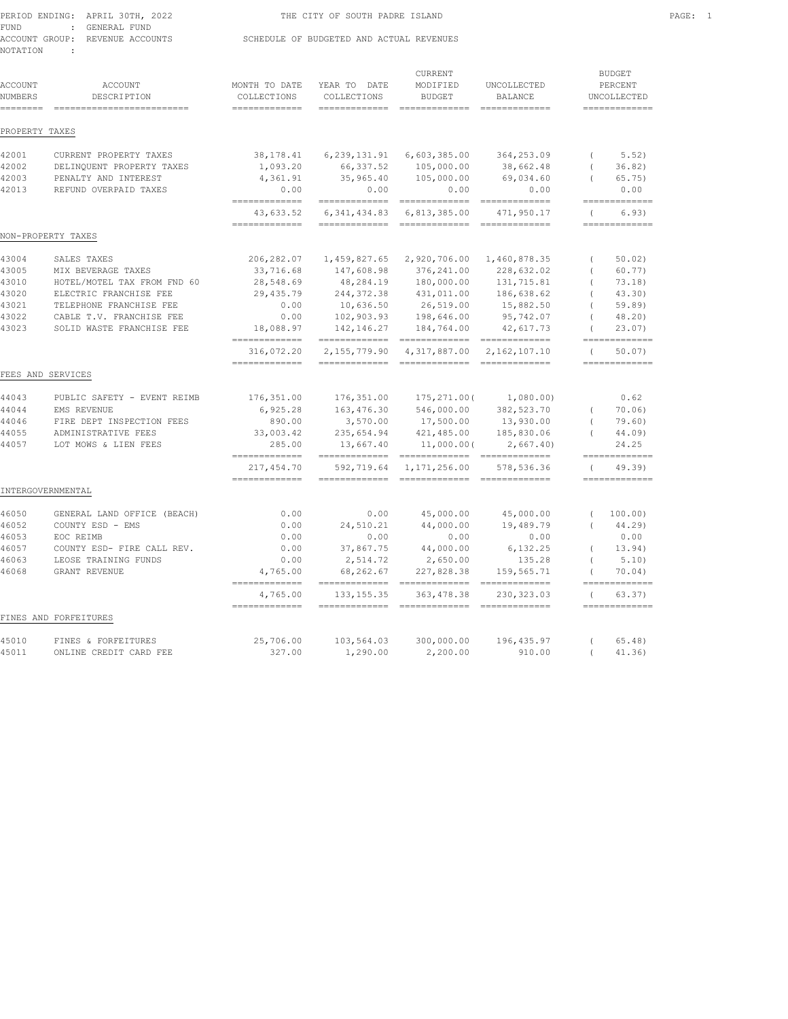|          | PERIOD ENDING: APRIL 30TH, 2022 | THE CITY OF SOUTH PADRE ISLAND           | PAGE: 1 |  |
|----------|---------------------------------|------------------------------------------|---------|--|
| FUND     | : GENERAL FUND                  |                                          |         |  |
|          | ACCOUNT GROUP: REVENUE ACCOUNTS | SCHEDULE OF BUDGETED AND ACTUAL REVENUES |         |  |
| NOTATION |                                 |                                          |         |  |

| FAGE.<br>$\sim$ |
|-----------------|
|                 |
|                 |
|                 |

| <b>ACCOUNT</b><br><b>NUMBERS</b><br>======== | <b>ACCOUNT</b><br>DESCRIPTION<br>-------------------------- | MONTH TO DATE<br>COLLECTIONS<br>============= | YEAR TO DATE<br>COLLECTIONS    | <b>CURRENT</b><br>MODIFIED<br><b>BUDGET</b><br>=============================== | UNCOLLECTED<br><b>BALANCE</b><br>============= |            | <b>BUDGET</b><br>PERCENT<br>UNCOLLECTED<br>============= |
|----------------------------------------------|-------------------------------------------------------------|-----------------------------------------------|--------------------------------|--------------------------------------------------------------------------------|------------------------------------------------|------------|----------------------------------------------------------|
| PROPERTY TAXES                               |                                                             |                                               |                                |                                                                                |                                                |            |                                                          |
| 42001                                        | CURRENT PROPERTY TAXES                                      | 38, 178. 41                                   | 6,239,131.91                   | 6,603,385.00                                                                   | 364,253.09                                     | $\left($   | 5.52)                                                    |
| 42002                                        | DELINQUENT PROPERTY TAXES                                   | 1,093.20                                      | 66, 337.52                     | 105,000.00                                                                     | 38,662.48                                      | $\left($   | 36.82)                                                   |
| 42003<br>42013                               | PENALTY AND INTEREST<br>REFUND OVERPAID TAXES               | 4,361.91<br>0.00                              | 35,965.40<br>0.00              | 105,000.00<br>0.00                                                             | 69,034.60<br>0.00                              | $\left($   | 65.75)<br>0.00                                           |
|                                              |                                                             | $=$ = = = = = = = = = = = = =                 | =============                  | $=$ ==============                                                             |                                                |            | =============                                            |
|                                              |                                                             | 43,633.52                                     | 6, 341, 434.83                 | 6,813,385.00                                                                   | 471,950.17                                     | $\left($   | 6.93)<br>=============                                   |
|                                              | NON-PROPERTY TAXES                                          | =============                                 | =============                  | =============                                                                  | =============                                  |            |                                                          |
| 43004                                        | SALES TAXES                                                 | 206, 282.07                                   | 1,459,827.65                   | 2,920,706.00                                                                   | 1,460,878.35                                   | $\left($   | 50.02                                                    |
| 43005                                        | MIX BEVERAGE TAXES                                          | 33,716.68                                     | 147,608.98                     | 376,241.00                                                                     | 228,632.02                                     | $\left($   | 60.77)                                                   |
| 43010                                        | HOTEL/MOTEL TAX FROM FND 60                                 | 28,548.69                                     | 48,284.19                      | 180,000.00                                                                     | 131,715.81                                     |            | 73.18)                                                   |
| 43020                                        | ELECTRIC FRANCHISE FEE                                      | 29,435.79                                     | 244, 372.38                    | 431,011.00                                                                     | 186,638.62                                     | $\left($   | 43.30                                                    |
| 43021                                        | TELEPHONE FRANCHISE FEE                                     | 0.00                                          | 10,636.50                      | 26,519.00                                                                      | 15,882.50                                      |            | 59.89                                                    |
| 43022                                        | CABLE T.V. FRANCHISE FEE                                    | 0.00                                          | 102,903.93                     | 198,646.00                                                                     | 95,742.07                                      |            | 48.20)                                                   |
| 43023                                        | SOLID WASTE FRANCHISE FEE                                   | 18,088.97<br>-------------                    | 142, 146. 27<br>-------------- | 184,764.00<br>------------- ------------                                       | 42,617.73                                      |            | 23.07<br>=============                                   |
|                                              |                                                             | 316,072.20<br>=============                   | 2,155,779.90                   | 4,317,887.00                                                                   | 2,162,107.10                                   | $\sqrt{ }$ | 50.07<br>=============                                   |
|                                              | FEES AND SERVICES                                           |                                               |                                |                                                                                |                                                |            |                                                          |
| 44043                                        | PUBLIC SAFETY - EVENT REIMB                                 | 176,351.00                                    | 176,351.00                     | 175,271.00(                                                                    | 1,080.00)                                      |            | 0.62                                                     |
| 44044                                        | EMS REVENUE                                                 | 6,925.28                                      | 163,476.30                     | 546,000.00                                                                     | 382,523.70                                     | $\left($   | 70.06                                                    |
| 44046                                        | FIRE DEPT INSPECTION FEES                                   | 890.00                                        | 3,570.00                       | 17,500.00                                                                      | 13,930.00                                      | $\left($   | 79.60)                                                   |
| 44055                                        | ADMINISTRATIVE FEES                                         | 33,003.42                                     | 235,654.94                     | 421,485.00                                                                     | 185,830.06                                     |            | 44.09)                                                   |
| 44057                                        | LOT MOWS & LIEN FEES                                        | 285.00<br>=============                       | 13,667.40<br>=============     | 11,000.00(<br>==============================                                   | 2,667.40                                       |            | 24.25<br>=============                                   |
|                                              |                                                             | 217,454.70                                    | 592,719.64                     | 1,171,256.00                                                                   | 578,536.36                                     | $\left($   | 49.39                                                    |
|                                              | INTERGOVERNMENTAL                                           | =============                                 | =============                  | =============                                                                  | ==============                                 |            | =============                                            |
| 46050                                        | GENERAL LAND OFFICE (BEACH)                                 | 0.00                                          | 0.00                           | 45,000.00                                                                      | 45,000.00                                      | $\left($   | 100.00)                                                  |
| 46052                                        | COUNTY ESD - EMS                                            | 0.00                                          | 24,510.21                      | 44,000.00                                                                      | 19,489.79                                      | $\left($   | 44.29)                                                   |
| 46053                                        | EOC REIMB                                                   | 0.00                                          | 0.00                           | 0.00                                                                           | 0.00                                           |            | 0.00                                                     |
| 46057                                        | COUNTY ESD- FIRE CALL REV.                                  | 0.00                                          | 37,867.75                      | 44,000.00                                                                      | 6,132.25                                       | $\left($   | 13.94)                                                   |
| 46063                                        | LEOSE TRAINING FUNDS                                        | 0.00                                          | 2,514.72                       | 2,650.00                                                                       | 135.28                                         | $\sqrt{ }$ | 5.10                                                     |
| 46068                                        | GRANT REVENUE                                               | 4,765.00<br>=============                     | 68,262.67                      | 227,828.38                                                                     | 159,565.71                                     | $\left($   | 70.04)<br>=============                                  |
|                                              |                                                             | 4,765.00<br>=============                     | 133, 155.35                    | 363, 478.38<br>$=$ ==============                                              | 230, 323.03                                    |            | 63.37)<br>=============                                  |
|                                              | FINES AND FORFEITURES                                       |                                               |                                |                                                                                |                                                |            |                                                          |
| 45010                                        | FINES & FORFEITURES                                         | 25,706.00                                     | 103,564.03                     | 300,000.00                                                                     | 196,435.97                                     | $\left($   | $65.48$ )                                                |
| 45011                                        | ONLINE CREDIT CARD FEE                                      | 327.00                                        | 1,290.00                       | 2,200.00                                                                       | 910.00                                         | $\left($   | 41.36)                                                   |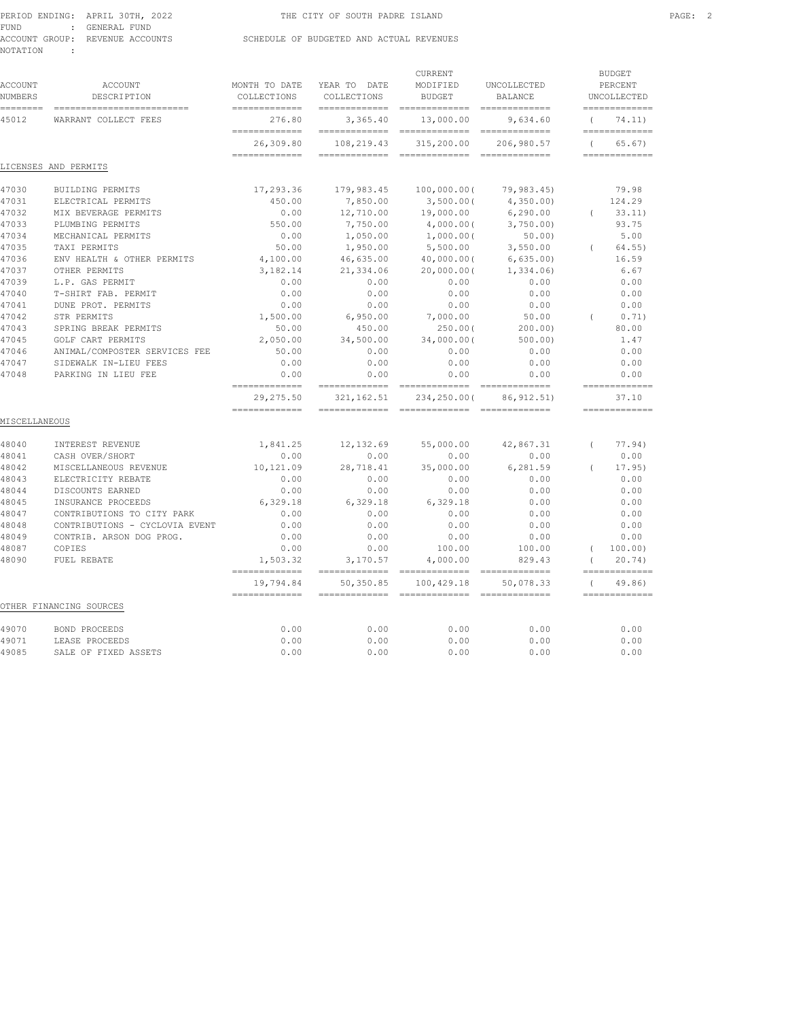|      | PERIOD ENDING: APRIL 30TH, 2022 | THE CITY OF SOUTH PADRE ISLAND           | PAGE: 2 |  |
|------|---------------------------------|------------------------------------------|---------|--|
| FUND | : GENERAL FUND                  |                                          |         |  |
|      | ACCOUNT GROUP: REVENUE ACCOUNTS | SCHEDULE OF BUDGETED AND ACTUAL REVENUES |         |  |

NOTATION :

| <b>ACCOUNT</b><br><b>NUMBERS</b> | ACCOUNT<br>DESCRIPTION                              | MONTH TO DATE<br>COLLECTIONS  | YEAR TO DATE<br>COLLECTIONS   | CURRENT<br>MODIFIED<br><b>BUDGET</b>        | UNCOLLECTED<br><b>BALANCE</b> |                | <b>BUDGET</b><br>PERCENT<br>UNCOLLECTED |
|----------------------------------|-----------------------------------------------------|-------------------------------|-------------------------------|---------------------------------------------|-------------------------------|----------------|-----------------------------------------|
| :=======<br>45012                | ===========================<br>WARRANT COLLECT FEES | =============<br>276.80       | =============<br>3,365.40     | =============<br>13,000.00                  | $=$ =============<br>9,634.60 | $\overline{ }$ | =============<br>74.11)                 |
|                                  |                                                     | =============<br>26,309.80    | =============<br>108,219.43   | -----------------------------<br>315,200.00 | 206,980.57                    | $\left($       | =============<br>65.67)                 |
|                                  | LICENSES AND PERMITS                                | $=$ = = = = = = = = = = = = = | $=$ = = = = = = = = = = = = = | =============                               | =============                 |                | =============                           |
| 47030                            | BUILDING PERMITS                                    | 17,293.36                     | 179,983.45                    | 100,000.00(                                 | 79,983.45)                    |                | 79.98                                   |
| 47031                            | ELECTRICAL PERMITS                                  | 450.00                        | 7,850.00                      | 3,500.00(                                   | 4,350.00                      |                | 124.29                                  |
| 47032                            | MIX BEVERAGE PERMITS                                | 0.00                          | 12,710.00                     | 19,000.00                                   | 6,290.00                      | $\left($       | 33.11)                                  |
| 47033                            | PLUMBING PERMITS                                    | 550.00                        | 7,750.00                      | 4,000.00(                                   | 3,750.00                      |                | 93.75                                   |
| 47034                            | MECHANICAL PERMITS                                  | 0.00                          | 1,050.00                      | 1,000.00(                                   | 50.00                         |                | 5.00                                    |
| 47035                            | TAXI PERMITS                                        | 50.00                         | 1,950.00                      | 5,500.00                                    | 3,550.00                      | $\left($       | $64.55$ )                               |
| 47036                            | ENV HEALTH & OTHER PERMITS                          | 4,100.00                      | 46,635.00                     | 40,000.00(                                  | 6,635.00                      |                | 16.59                                   |
| 47037                            | OTHER PERMITS                                       | 3,182.14                      | 21,334.06                     | 20,000.00(                                  | 1,334.06)                     |                | 6.67                                    |
| 47039                            | L.P. GAS PERMIT                                     | 0.00                          | 0.00                          | 0.00                                        | 0.00                          |                | 0.00                                    |
| 47040                            | T-SHIRT FAB. PERMIT                                 | 0.00                          | 0.00                          | 0.00                                        | 0.00                          |                | 0.00                                    |
| 47041                            | DUNE PROT. PERMITS                                  | 0.00                          | 0.00                          | 0.00                                        | 0.00                          |                | 0.00                                    |
| 47042                            | STR PERMITS                                         | 1,500.00                      | 6,950.00                      | 7,000.00                                    | 50.00                         | $\left($       | 0.71)                                   |
| 47043                            | SPRING BREAK PERMITS                                | 50.00                         | 450.00                        | 250.00(                                     | 200.00                        |                | 80.00                                   |
| 47045                            | GOLF CART PERMITS                                   | 2,050.00                      | 34,500.00                     | 34,000,000                                  | 500.001                       |                | 1.47                                    |
| 47046                            | ANIMAL/COMPOSTER SERVICES FEE                       | 50.00                         | 0.00                          | 0.00                                        | 0.00                          |                | 0.00                                    |
| 47047                            | SIDEWALK IN-LIEU FEES                               | 0.00                          | 0.00                          | 0.00                                        | 0.00                          |                | 0.00                                    |
| 47048                            | PARKING IN LIEU FEE                                 | 0.00                          | 0.00                          | 0.00                                        | 0.00                          |                | 0.00<br>=============                   |
|                                  |                                                     | =============<br>29, 275.50   | 321, 162.51                   | 234,250.00(                                 | 86, 912.51)                   |                | 37.10                                   |
| MISCELLANEOUS                    |                                                     | =============                 |                               |                                             |                               |                | =============                           |
| 48040                            | INTEREST REVENUE                                    | 1,841.25                      | 12,132.69                     | 55,000.00                                   | 42,867.31                     | $\left($       | 77.94)                                  |
| 48041                            | CASH OVER/SHORT                                     | 0.00                          | 0.00                          | 0.00                                        | 0.00                          |                | 0.00                                    |
| 48042                            | MISCELLANEOUS REVENUE                               | 10,121.09                     | 28,718.41                     | 35,000.00                                   | 6,281.59                      |                | 17.95                                   |
| 48043                            | ELECTRICITY REBATE                                  | 0.00                          | 0.00                          | 0.00                                        | 0.00                          |                | 0.00                                    |
| 48044                            | DISCOUNTS EARNED                                    | 0.00                          | 0.00                          | 0.00                                        | 0.00                          |                | 0.00                                    |
| 48045                            | INSURANCE PROCEEDS                                  | 6,329.18                      | 6,329.18                      | 6,329.18                                    | 0.00                          |                | 0.00                                    |
| 48047                            | CONTRIBUTIONS TO CITY PARK                          | 0.00                          | 0.00                          | 0.00                                        | 0.00                          |                | 0.00                                    |
| 48048                            | CONTRIBUTIONS - CYCLOVIA EVENT                      | 0.00                          | 0.00                          | 0.00                                        | 0.00                          |                | 0.00                                    |
| 48049                            | CONTRIB. ARSON DOG PROG.                            | 0.00                          | 0.00                          | 0.00                                        | 0.00                          |                | 0.00                                    |
| 48087                            | COPIES                                              | 0.00                          | 0.00                          | 100.00                                      | 100.00                        | $\left($       | 100.00)                                 |
| 48090                            | FUEL REBATE                                         | 1,503.32<br>=============     | 3,170.57                      | 4,000.00                                    | 829.43                        | $\left($       | 20.74<br>=============                  |
|                                  |                                                     | 19,794.84<br>=============    | 50,350.85                     | 100,429.18                                  | 50,078.33                     | $\left($       | 49.86)<br>=============                 |
|                                  | OTHER FINANCING SOURCES                             |                               |                               |                                             |                               |                |                                         |
| 49070                            | <b>BOND PROCEEDS</b>                                | 0.00                          | 0.00                          | 0.00                                        | 0.00                          |                | 0.00                                    |
| 49071                            | LEASE PROCEEDS                                      | 0.00                          | 0.00                          | 0.00                                        | 0.00                          |                | 0.00                                    |
| 49085                            | SALE OF FIXED ASSETS                                | 0.00                          | 0.00                          | 0.00                                        | 0.00                          |                | 0.00                                    |